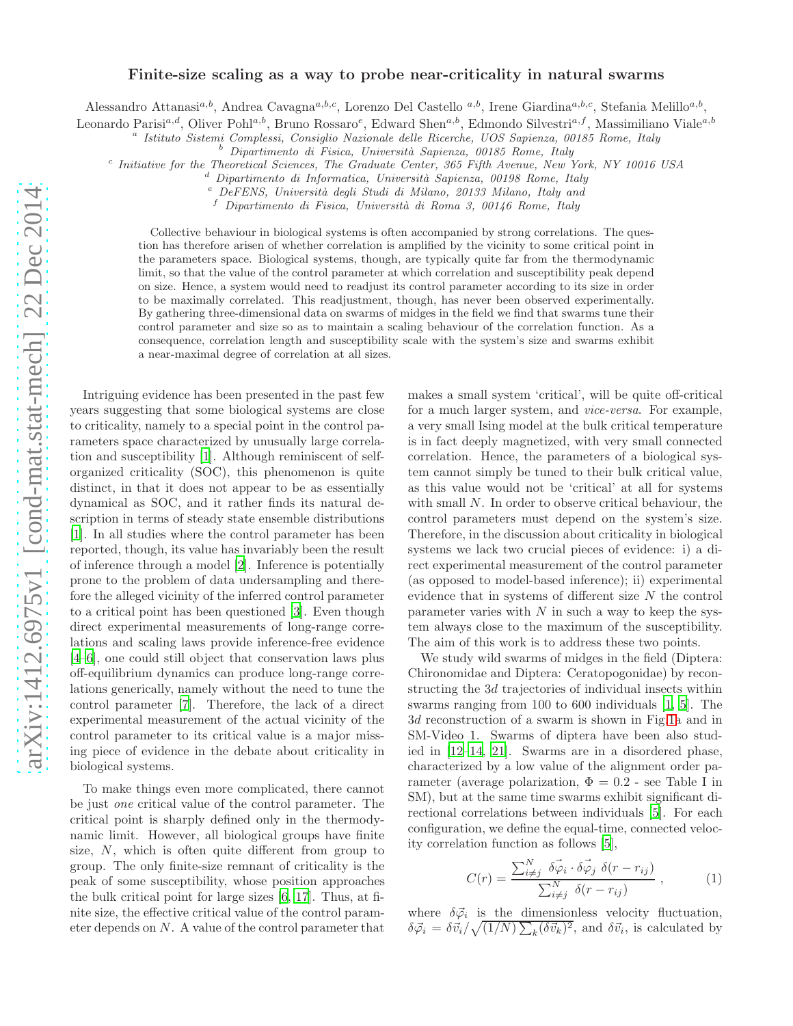# Finite-size scaling as a way to probe near-criticality in natural swarms

Alessandro Attanasi<sup>a,b</sup>, Andrea Cavagna<sup>a,b,c</sup>, Lorenzo Del Castello<sup>a,b</sup>, Irene Giardina<sup>a,b,c</sup>, Stefania Melillo<sup>a,b</sup>,

Leonardo Parisi<sup>a,d</sup>, Oliver Pohl<sup>a,b</sup>, Bruno Rossaro<sup>e</sup>, Edward Shen<sup>a,b</sup>, Edmondo Silvestri<sup>a,f</sup>, Massimiliano Viale<sup>a,b</sup>

a *Istituto Sistemi Complessi, Consiglio Nazionale delle Ricerche, UOS Sapienza, 00185 Rome, Italy*

<sup>b</sup> *Dipartimento di Fisica, Universit`a Sapienza, 00185 Rome, Italy*

c *Initiative for the Theoretical Sciences, The Graduate Center, 365 Fifth Avenue, New York, NY 10016 USA*

<sup>f</sup> *Dipartimento di Fisica, Universit`a di Roma 3, 00146 Rome, Italy*

Collective behaviour in biological systems is often accompanied by strong correlations. The question has therefore arisen of whether correlation is amplified by the vicinity to some critical point in the parameters space. Biological systems, though, are typically quite far from the thermodynamic limit, so that the value of the control parameter at which correlation and susceptibility peak depend on size. Hence, a system would need to readjust its control parameter according to its size in order to be maximally correlated. This readjustment, though, has never been observed experimentally. By gathering three-dimensional data on swarms of midges in the field we find that swarms tune their control parameter and size so as to maintain a scaling behaviour of the correlation function. As a consequence, correlation length and susceptibility scale with the system's size and swarms exhibit a near-maximal degree of correlation at all sizes.

Intriguing evidence has been presented in the past few years suggesting that some biological systems are close to criticality, namely to a special point in the control parameters space characterized by unusually large correlation and susceptibility [\[1\]](#page-3-0). Although reminiscent of selforganized criticality (SOC), this phenomenon is quite distinct, in that it does not appear to be as essentially dynamical as SOC, and it rather finds its natural description in terms of steady state ensemble distributions [\[1\]](#page-3-0). In all studies where the control parameter has been reported, though, its value has invariably been the result of inference through a model [\[2\]](#page-3-1). Inference is potentially prone to the problem of data undersampling and therefore the alleged vicinity of the inferred control parameter to a critical point has been questioned [\[3\]](#page-4-0). Even though direct experimental measurements of long-range correlations and scaling laws provide inference-free evidence [\[4](#page-4-1)[–6\]](#page-4-2), one could still object that conservation laws plus off-equilibrium dynamics can produce long-range correlations generically, namely without the need to tune the control parameter [\[7\]](#page-4-3). Therefore, the lack of a direct experimental measurement of the actual vicinity of the control parameter to its critical value is a major missing piece of evidence in the debate about criticality in biological systems.

To make things even more complicated, there cannot be just one critical value of the control parameter. The critical point is sharply defined only in the thermodynamic limit. However, all biological groups have finite size, N, which is often quite different from group to group. The only finite-size remnant of criticality is the peak of some susceptibility, whose position approaches the bulk critical point for large sizes [\[6](#page-11-0), [17](#page-11-1)]. Thus, at finite size, the effective critical value of the control parameter depends on N. A value of the control parameter that makes a small system 'critical', will be quite off-critical for a much larger system, and *vice-versa*. For example, a very small Ising model at the bulk critical temperature is in fact deeply magnetized, with very small connected correlation. Hence, the parameters of a biological system cannot simply be tuned to their bulk critical value, as this value would not be 'critical' at all for systems with small N. In order to observe critical behaviour, the control parameters must depend on the system's size. Therefore, in the discussion about criticality in biological systems we lack two crucial pieces of evidence: i) a direct experimental measurement of the control parameter (as opposed to model-based inference); ii) experimental evidence that in systems of different size N the control parameter varies with  $N$  in such a way to keep the system always close to the maximum of the susceptibility. The aim of this work is to address these two points.

We study wild swarms of midges in the field (Diptera: Chironomidae and Diptera: Ceratopogonidae) by reconstructing the 3d trajectories of individual insects within swarms ranging from 100 to 600 individuals [\[1,](#page-11-2) [5](#page-11-3)]. The 3d reconstruction of a swarm is shown in Fig[.1a](#page-1-0) and in SM-Video 1. Swarms of diptera have been also studied in [\[12](#page-4-4)[–14,](#page-4-5) [21\]](#page-11-4). Swarms are in a disordered phase, characterized by a low value of the alignment order parameter (average polarization,  $\Phi = 0.2$  - see Table I in SM), but at the same time swarms exhibit significant directional correlations between individuals [\[5\]](#page-11-3). For each configuration, we define the equal-time, connected velocity correlation function as follows [\[5\]](#page-4-6),

$$
C(r) = \frac{\sum_{i \neq j}^{N} \delta \vec{\varphi}_i \cdot \delta \vec{\varphi}_j \delta(r - r_{ij})}{\sum_{i \neq j}^{N} \delta(r - r_{ij})}, \qquad (1)
$$

where  $\delta \vec{\varphi}_i$  is the dimensionless velocity fluctuation,  $\delta \vec{\varphi}_i = \delta \vec{v}_i / \sqrt{(1/N) \sum_k (\delta \vec{v}_k)^2}$ , and  $\delta \vec{v}_i$ , is calculated by

<sup>d</sup> *Dipartimento di Informatica, Universit`a Sapienza, 00198 Rome, Italy*

<sup>e</sup> *DeFENS, Universit`a degli Studi di Milano, 20133 Milano, Italy and*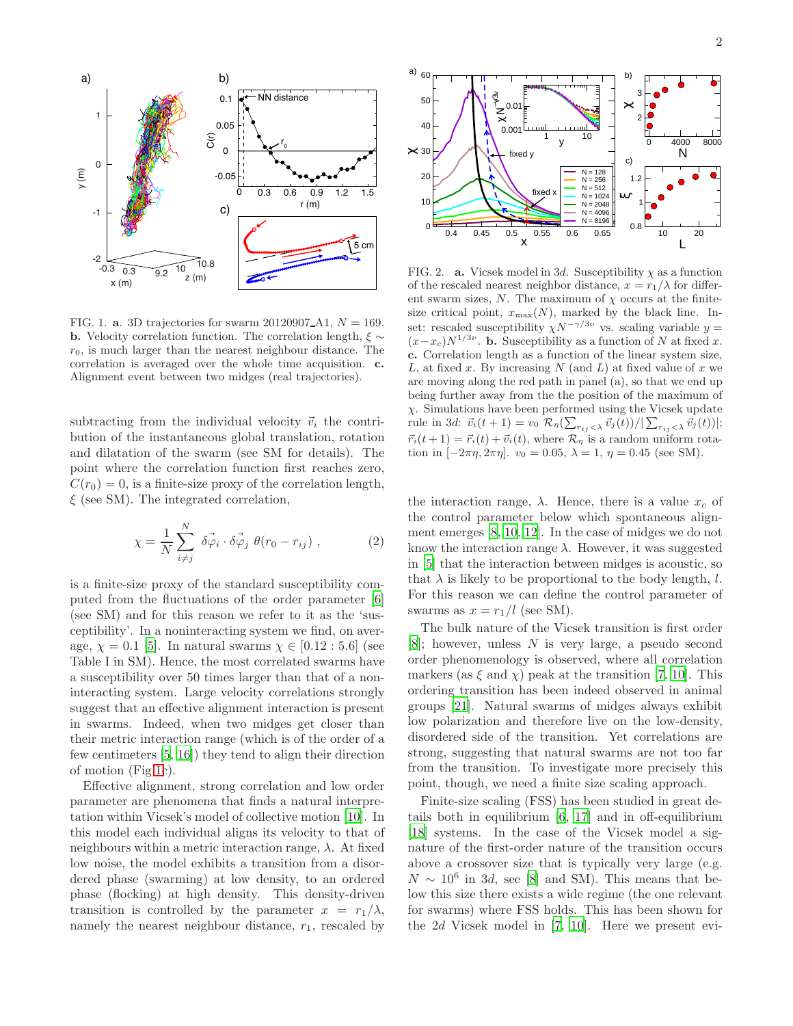

<span id="page-1-0"></span>FIG. 1. **a.** 3D trajectories for swarm 20120907<sub>-</sub>A1,  $N = 169$ . **b.** Velocity correlation function. The correlation length,  $\xi \sim$  $r_0$ , is much larger than the nearest neighbour distance. The correlation is averaged over the whole time acquisition. c. Alignment event between two midges (real trajectories).

subtracting from the individual velocity  $\vec{v}_i$  the contribution of the instantaneous global translation, rotation and dilatation of the swarm (see SM for details). The point where the correlation function first reaches zero,  $C(r_0) = 0$ , is a finite-size proxy of the correlation length,  $\xi$  (see SM). The integrated correlation,

$$
\chi = \frac{1}{N} \sum_{i \neq j}^{N} \delta \vec{\varphi}_i \cdot \delta \vec{\varphi}_j \; \theta(r_0 - r_{ij}) \; , \tag{2}
$$

is a finite-size proxy of the standard susceptibility computed from the fluctuations of the order parameter [\[6](#page-11-0)] (see SM) and for this reason we refer to it as the 'susceptibility'. In a noninteracting system we find, on average,  $\chi = 0.1$  [\[5\]](#page-11-3). In natural swarms  $\chi \in [0.12 : 5.6]$  (see Table I in SM). Hence, the most correlated swarms have a susceptibility over 50 times larger than that of a noninteracting system. Large velocity correlations strongly suggest that an effective alignment interaction is present in swarms. Indeed, when two midges get closer than their metric interaction range (which is of the order of a few centimeters [\[5,](#page-11-3) [16\]](#page-4-7)) they tend to align their direction of motion (Fig[.1c](#page-1-0)).

Effective alignment, strong correlation and low order parameter are phenomena that finds a natural interpretation within Vicsek's model of collective motion [\[10](#page-11-5)]. In this model each individual aligns its velocity to that of neighbours within a metric interaction range,  $\lambda$ . At fixed low noise, the model exhibits a transition from a disordered phase (swarming) at low density, to an ordered phase (flocking) at high density. This density-driven transition is controlled by the parameter  $x = r_1/\lambda$ , namely the nearest neighbour distance,  $r_1$ , rescaled by



<span id="page-1-1"></span>FIG. 2. **a.** Vicsek model in 3d. Susceptibility  $\chi$  as a function of the rescaled nearest neighbor distance,  $x = r_1/\lambda$  for different swarm sizes,  $N$ . The maximum of  $\chi$  occurs at the finitesize critical point,  $x_{\text{max}}(N)$ , marked by the black line. Inset: rescaled susceptibility  $\chi N^{-\gamma/3\nu}$  vs. scaling variable  $y =$  $(x-x_c)N^{1/3\nu}$ . **b.** Susceptibility as a function of N at fixed x. c. Correlation length as a function of the linear system size, L, at fixed x. By increasing  $N$  (and  $L$ ) at fixed value of x we are moving along the red path in panel (a), so that we end up being further away from the the position of the maximum of  $\chi$ . Simulations have been performed using the Vicsek update rule in 3d:  $\vec{v}_i(t+1) = v_0 \mathcal{R}_\eta(\sum_{r_{ij} < \lambda} \vec{v}_j(t))/|\sum_{r_{ij} < \lambda} \vec{v}_j(t)|;$  $\vec{r_i}(t+1) = \vec{r_i}(t) + \vec{v_i}(t)$ , where  $\mathcal{R}_{\eta}$  is a random uniform rotation in  $[-2\pi\eta, 2\pi\eta]$ .  $v_0 = 0.05$ ,  $\lambda = 1$ ,  $\eta = 0.45$  (see SM).

the interaction range,  $\lambda$ . Hence, there is a value  $x_c$  of the control parameter below which spontaneous alignment emerges [\[8](#page-11-6), [10,](#page-11-5) [12\]](#page-11-7). In the case of midges we do not know the interaction range  $\lambda$ . However, it was suggested in [\[5\]](#page-11-3) that the interaction between midges is acoustic, so that  $\lambda$  is likely to be proportional to the body length, l. For this reason we can define the control parameter of swarms as  $x = r_1/l$  (see SM).

The bulk nature of the Vicsek transition is first order  $[8]$ ; however, unless N is very large, a pseudo second order phenomenology is observed, where all correlation markers (as  $\xi$  and  $\chi$ ) peak at the transition [\[7,](#page-11-8) [10\]](#page-11-5). This ordering transition has been indeed observed in animal groups [\[21\]](#page-4-8). Natural swarms of midges always exhibit low polarization and therefore live on the low-density, disordered side of the transition. Yet correlations are strong, suggesting that natural swarms are not too far from the transition. To investigate more precisely this point, though, we need a finite size scaling approach.

Finite-size scaling (FSS) has been studied in great details both in equilibrium [\[6,](#page-11-0) [17\]](#page-11-1) and in off-equilibrium [\[18\]](#page-11-9) systems. In the case of the Vicsek model a signature of the first-order nature of the transition occurs above a crossover size that is typically very large (e.g.  $N \sim 10^6$  in 3d, see [\[8\]](#page-11-6) and SM). This means that below this size there exists a wide regime (the one relevant for swarms) where FSS holds. This has been shown for the 2d Vicsek model in [\[7](#page-11-8), [10\]](#page-11-5). Here we present evi-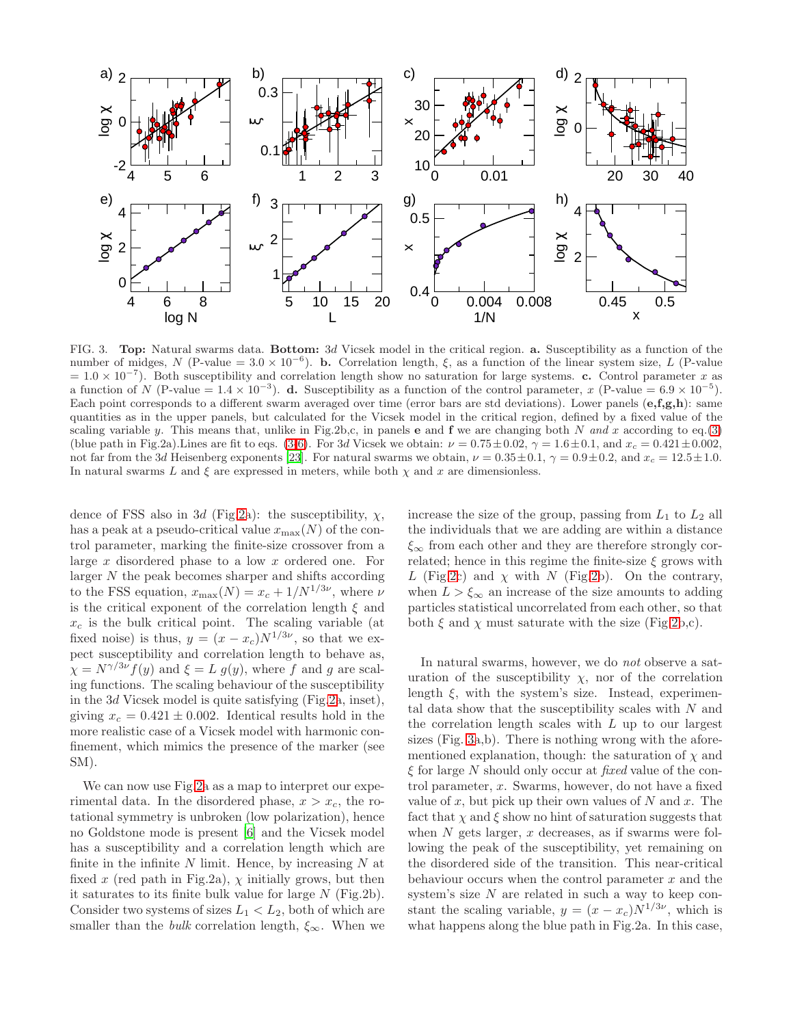

<span id="page-2-0"></span>FIG. 3. Top: Natural swarms data. Bottom: 3d Vicsek model in the critical region. a. Susceptibility as a function of the number of midges, N (P-value =  $3.0 \times 10^{-6}$ ). **b.** Correlation length,  $\xi$ , as a function of the linear system size, L (P-value  $= 1.0 \times 10^{-7}$ ). Both susceptibility and correlation length show no saturation for large systems. c. Control parameter x as a function of N (P-value =  $1.4 \times 10^{-3}$ ). d. Susceptibility as a function of the control parameter, x (P-value =  $6.9 \times 10^{-5}$ ). Each point corresponds to a different swarm averaged over time (error bars are std deviations). Lower panels  $(e, f, g, h)$ : same quantities as in the upper panels, but calculated for the Vicsek model in the critical region, defined by a fixed value of the scaling variable y. This means that, unlike in Fig.2b,c, in panels **e** and **f** we are changing both N and x according to eq.[\(3\)](#page-3-2) (blue path in Fig.2a). Lines are fit to eqs. [\(3-](#page-3-2)[6\)](#page-3-3). For 3d Vicsek we obtain:  $\nu = 0.75 \pm 0.02$ ,  $\gamma = 1.6 \pm 0.1$ , and  $x_c = 0.421 \pm 0.002$ , not far from the 3d Heisenberg exponents [\[23](#page-4-9)]. For natural swarms we obtain,  $\nu = 0.35 \pm 0.1$ ,  $\gamma = 0.9 \pm 0.2$ , and  $x_c = 12.5 \pm 1.0$ . In natural swarms L and  $\xi$  are expressed in meters, while both  $\chi$  and  $x$  are dimensionless.

dence of FSS also in 3d (Fig[.2a](#page-1-1)): the susceptibility,  $\chi$ , has a peak at a pseudo-critical value  $x_{\text{max}}(N)$  of the control parameter, marking the finite-size crossover from a large x disordered phase to a low x ordered one. For larger  $N$  the peak becomes sharper and shifts according to the FSS equation,  $x_{\text{max}}(N) = x_c + 1/N^{1/3\nu}$ , where  $\nu$ is the critical exponent of the correlation length  $\xi$  and  $x_c$  is the bulk critical point. The scaling variable (at fixed noise) is thus,  $y = (x - x_c)N^{1/3\nu}$ , so that we expect susceptibility and correlation length to behave as,  $\chi = N^{\gamma/3\nu} f(y)$  and  $\xi = L g(y)$ , where f and g are scaling functions. The scaling behaviour of the susceptibility in the 3d Vicsek model is quite satisfying (Fig[.2a](#page-1-1), inset), giving  $x_c = 0.421 \pm 0.002$ . Identical results hold in the more realistic case of a Vicsek model with harmonic confinement, which mimics the presence of the marker (see SM).

We can now use Fig[.2a](#page-1-1) as a map to interpret our experimental data. In the disordered phase,  $x > x_c$ , the rotational symmetry is unbroken (low polarization), hence no Goldstone mode is present [\[6\]](#page-11-0) and the Vicsek model has a susceptibility and a correlation length which are finite in the infinite  $N$  limit. Hence, by increasing  $N$  at fixed x (red path in Fig.2a),  $\chi$  initially grows, but then it saturates to its finite bulk value for large  $N$  (Fig.2b). Consider two systems of sizes  $L_1 < L_2$ , both of which are smaller than the *bulk* correlation length,  $\xi_{\infty}$ . When we increase the size of the group, passing from  $L_1$  to  $L_2$  all the individuals that we are adding are within a distance  $\xi_{\infty}$  from each other and they are therefore strongly correlated; hence in this regime the finite-size  $\xi$  grows with L (Fig[.2c](#page-1-1)) and  $\chi$  with N (Fig[.2b](#page-1-1)). On the contrary, when  $L > \xi_{\infty}$  an increase of the size amounts to adding particles statistical uncorrelated from each other, so that both  $\xi$  and  $\chi$  must saturate with the size (Fig[.2b](#page-1-1),c).

In natural swarms, however, we do not observe a saturation of the susceptibility  $\chi$ , nor of the correlation length  $\xi$ , with the system's size. Instead, experimental data show that the susceptibility scales with  $N$  and the correlation length scales with L up to our largest sizes (Fig. [3a](#page-2-0),b). There is nothing wrong with the aforementioned explanation, though: the saturation of  $\chi$  and  $\xi$  for large N should only occur at fixed value of the control parameter, x. Swarms, however, do not have a fixed value of  $x$ , but pick up their own values of  $N$  and  $x$ . The fact that  $\chi$  and  $\xi$  show no hint of saturation suggests that when  $N$  gets larger,  $x$  decreases, as if swarms were following the peak of the susceptibility, yet remaining on the disordered side of the transition. This near-critical behaviour occurs when the control parameter  $x$  and the system's size  $N$  are related in such a way to keep constant the scaling variable,  $y = (x - x_c)N^{1/3\nu}$ , which is what happens along the blue path in Fig.2a. In this case,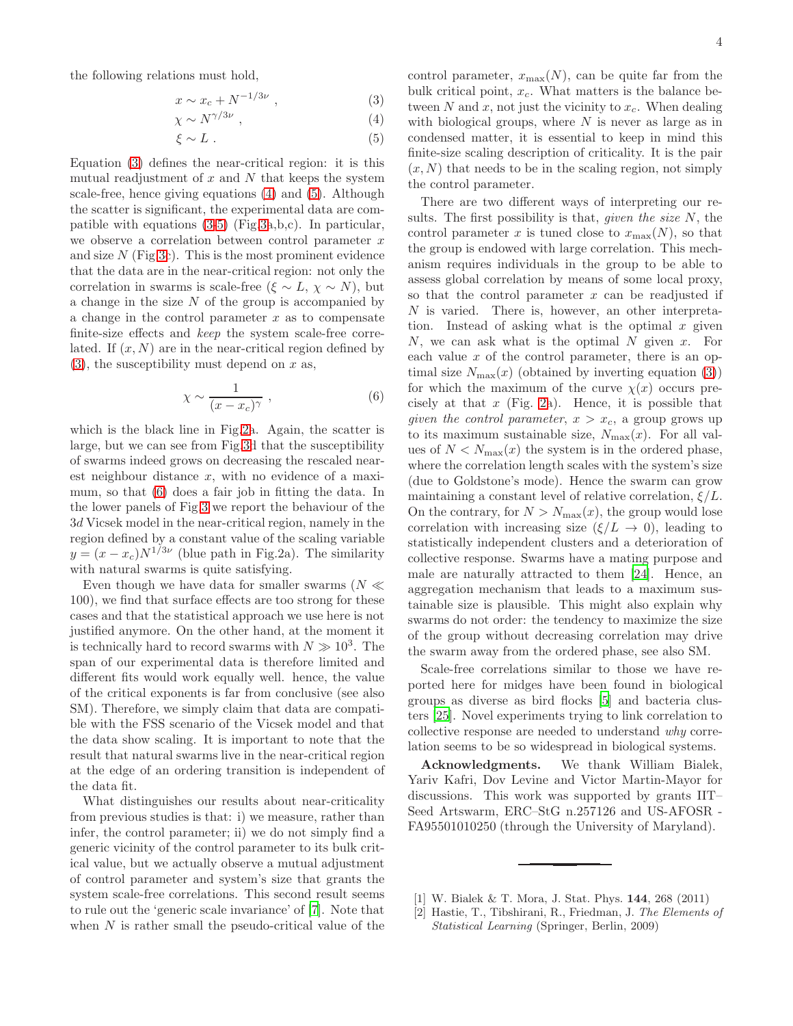the following relations must hold,

<span id="page-3-2"></span>
$$
x \sim x_c + N^{-1/3\nu} \tag{3}
$$

$$
\chi \sim N^{\gamma/3\nu} \tag{4}
$$

$$
\xi \sim L \tag{5}
$$

Equation [\(3\)](#page-3-2) defines the near-critical region: it is this mutual readjustment of  $x$  and  $N$  that keeps the system scale-free, hence giving equations [\(4\)](#page-3-2) and [\(5\)](#page-3-2). Although the scatter is significant, the experimental data are compatible with equations [\(3-5\)](#page-3-2) (Fig[.3a](#page-2-0),b,c). In particular, we observe a correlation between control parameter  $x$ and size  $N$  (Fig[.3c](#page-2-0)). This is the most prominent evidence that the data are in the near-critical region: not only the correlation in swarms is scale-free ( $\xi \sim L$ ,  $\chi \sim N$ ), but a change in the size  $N$  of the group is accompanied by a change in the control parameter  $x$  as to compensate finite-size effects and keep the system scale-free correlated. If  $(x, N)$  are in the near-critical region defined by  $(3)$ , the susceptibility must depend on x as,

<span id="page-3-3"></span>
$$
\chi \sim \frac{1}{(x - x_c)^\gamma} \;, \tag{6}
$$

which is the black line in Fig[.2a](#page-1-1). Again, the scatter is large, but we can see from Fig[.3d](#page-2-0) that the susceptibility of swarms indeed grows on decreasing the rescaled nearest neighbour distance  $x$ , with no evidence of a maximum, so that [\(6\)](#page-3-3) does a fair job in fitting the data. In the lower panels of Fig[.3](#page-2-0) we report the behaviour of the 3d Vicsek model in the near-critical region, namely in the region defined by a constant value of the scaling variable  $y = (x - x_c)N^{1/3\nu}$  (blue path in Fig.2a). The similarity with natural swarms is quite satisfying.

Even though we have data for smaller swarms ( $N \ll$ 100), we find that surface effects are too strong for these cases and that the statistical approach we use here is not justified anymore. On the other hand, at the moment it is technically hard to record swarms with  $N \gg 10^3$ . The span of our experimental data is therefore limited and different fits would work equally well. hence, the value of the critical exponents is far from conclusive (see also SM). Therefore, we simply claim that data are compatible with the FSS scenario of the Vicsek model and that the data show scaling. It is important to note that the result that natural swarms live in the near-critical region at the edge of an ordering transition is independent of the data fit.

What distinguishes our results about near-criticality from previous studies is that: i) we measure, rather than infer, the control parameter; ii) we do not simply find a generic vicinity of the control parameter to its bulk critical value, but we actually observe a mutual adjustment of control parameter and system's size that grants the system scale-free correlations. This second result seems to rule out the 'generic scale invariance' of [\[7\]](#page-4-3). Note that when  $N$  is rather small the pseudo-critical value of the control parameter,  $x_{\text{max}}(N)$ , can be quite far from the bulk critical point,  $x_c$ . What matters is the balance between  $N$  and  $x$ , not just the vicinity to  $x_c$ . When dealing with biological groups, where  $N$  is never as large as in condensed matter, it is essential to keep in mind this finite-size scaling description of criticality. It is the pair  $(x, N)$  that needs to be in the scaling region, not simply the control parameter.

There are two different ways of interpreting our results. The first possibility is that, *given the size*  $N$ , the control parameter x is tuned close to  $x_{\text{max}}(N)$ , so that the group is endowed with large correlation. This mechanism requires individuals in the group to be able to assess global correlation by means of some local proxy, so that the control parameter  $x$  can be readjusted if N is varied. There is, however, an other interpretation. Instead of asking what is the optimal  $x$  given  $N$ , we can ask what is the optimal  $N$  given  $x$ . For each value  $x$  of the control parameter, there is an optimal size  $N_{\text{max}}(x)$  (obtained by inverting equation [\(3\)](#page-3-2)) for which the maximum of the curve  $\chi(x)$  occurs precisely at that  $x$  (Fig. [2a](#page-1-1)). Hence, it is possible that given the control parameter,  $x > x_c$ , a group grows up to its maximum sustainable size,  $N_{\text{max}}(x)$ . For all values of  $N < N_{\text{max}}(x)$  the system is in the ordered phase, where the correlation length scales with the system's size (due to Goldstone's mode). Hence the swarm can grow maintaining a constant level of relative correlation,  $\xi/L$ . On the contrary, for  $N > N_{\text{max}}(x)$ , the group would lose correlation with increasing size  $(\xi/L \rightarrow 0)$ , leading to statistically independent clusters and a deterioration of collective response. Swarms have a mating purpose and male are naturally attracted to them [\[24\]](#page-4-10). Hence, an aggregation mechanism that leads to a maximum sustainable size is plausible. This might also explain why swarms do not order: the tendency to maximize the size of the group without decreasing correlation may drive the swarm away from the ordered phase, see also SM.

Scale-free correlations similar to those we have reported here for midges have been found in biological groups as diverse as bird flocks [\[5\]](#page-4-6) and bacteria clusters [\[25\]](#page-4-11). Novel experiments trying to link correlation to collective response are needed to understand why correlation seems to be so widespread in biological systems.

Acknowledgments. We thank William Bialek, Yariv Kafri, Dov Levine and Victor Martin-Mayor for discussions. This work was supported by grants IIT– Seed Artswarm, ERC–StG n.257126 and US-AFOSR - FA95501010250 (through the University of Maryland).

- <span id="page-3-0"></span>[1] W. Bialek & T. Mora, J. Stat. Phys. 144, 268 (2011)
- <span id="page-3-1"></span>[2] Hastie, T., Tibshirani, R., Friedman, J. *The Elements of Statistical Learning* (Springer, Berlin, 2009)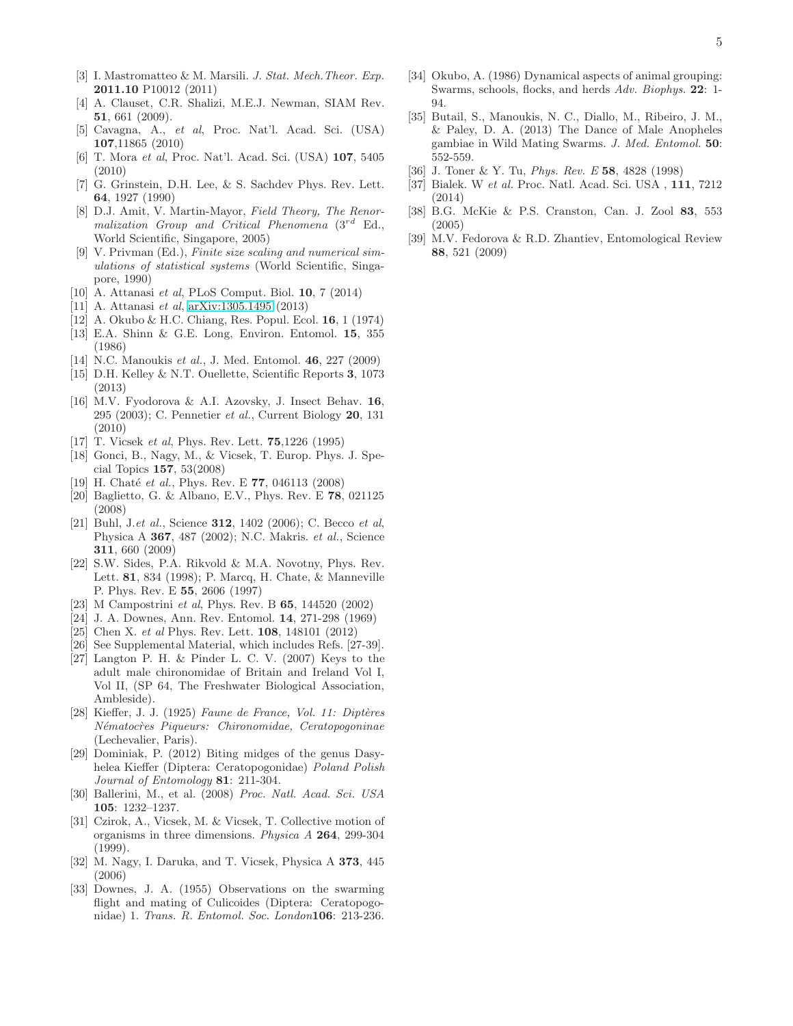- <span id="page-4-0"></span>[3] I. Mastromatteo & M. Marsili. *J. Stat. Mech.Theor. Exp.* 2011.10 P10012 (2011)
- <span id="page-4-1"></span>[4] A. Clauset, C.R. Shalizi, M.E.J. Newman, SIAM Rev. 51, 661 (2009).
- <span id="page-4-6"></span>[5] Cavagna, A., *et al*, Proc. Nat'l. Acad. Sci. (USA) 107,11865 (2010)
- <span id="page-4-2"></span>[6] T. Mora *et al*, Proc. Nat'l. Acad. Sci. (USA) 107, 5405 (2010)
- <span id="page-4-3"></span>[7] G. Grinstein, D.H. Lee, & S. Sachdev Phys. Rev. Lett. 64, 1927 (1990)
- [8] D.J. Amit, V. Martin-Mayor, *Field Theory, The Renormalization Group and Critical Phenomena* (3rd Ed., World Scientific, Singapore, 2005)
- [9] V. Privman (Ed.), *Finite size scaling and numerical simulations of statistical systems* (World Scientific, Singapore, 1990)
- [10] A. Attanasi *et al*, PLoS Comput. Biol. 10, 7 (2014)
- [11] A. Attanasi *et al*, [arXiv:1305.1495](http://arxiv.org/abs/1305.1495) (2013)
- <span id="page-4-4"></span>[12] A. Okubo & H.C. Chiang, Res. Popul. Ecol. 16, 1 (1974)
- [13] E.A. Shinn & G.E. Long, Environ. Entomol. 15, 355 (1986)
- <span id="page-4-5"></span>[14] N.C. Manoukis *et al.*, J. Med. Entomol. 46, 227 (2009)
- [15] D.H. Kelley & N.T. Ouellette, Scientific Reports 3, 1073 (2013)
- <span id="page-4-7"></span>[16] M.V. Fyodorova & A.I. Azovsky, J. Insect Behav. 16, 295 (2003); C. Pennetier *et al.*, Current Biology 20, 131 (2010)
- [17] T. Vicsek *et al*, Phys. Rev. Lett. 75,1226 (1995)
- [18] Gonci, B., Nagy, M., & Vicsek, T. Europ. Phys. J. Special Topics 157, 53(2008)
- [19] H. Chaté *et al.*, Phys. Rev. E **77**, 046113 (2008)
- [20] Baglietto, G. & Albano, E.V., Phys. Rev. E 78, 021125 (2008)
- <span id="page-4-8"></span>[21] Buhl, J.*et al.*, Science 312, 1402 (2006); C. Becco *et al*, Physica A 367, 487 (2002); N.C. Makris. *et al.*, Science 311, 660 (2009)
- [22] S.W. Sides, P.A. Rikvold & M.A. Novotny, Phys. Rev. Lett. 81, 834 (1998); P. Marcq, H. Chate, & Manneville P. Phys. Rev. E 55, 2606 (1997)
- <span id="page-4-9"></span>[23] M Campostrini *et al*, Phys. Rev. B 65, 144520 (2002)
- <span id="page-4-10"></span>[24] J. A. Downes, Ann. Rev. Entomol. 14, 271-298 (1969)
- <span id="page-4-11"></span>[25] Chen X. *et al* Phys. Rev. Lett. 108, 148101 (2012)
- [26] See Supplemental Material, which includes Refs. [27-39].
- [27] Langton P. H. & Pinder L. C. V. (2007) Keys to the adult male chironomidae of Britain and Ireland Vol I, Vol II, (SP 64, The Freshwater Biological Association, Ambleside).
- [28] Kieffer, J. J. (1925) *Faune de France, Vol. 11: Diptères N´ematoc`res Piqueurs: Chironomidae, Ceratopogoninae* (Lechevalier, Paris).
- [29] Dominiak, P. (2012) Biting midges of the genus Dasyhelea Kieffer (Diptera: Ceratopogonidae) *Poland Polish Journal of Entomology* 81: 211-304.
- [30] Ballerini, M., et al. (2008) *Proc. Natl. Acad. Sci. USA* 105: 1232–1237.
- [31] Czirok, A., Vicsek, M. & Vicsek, T. Collective motion of organisms in three dimensions. *Physica A* 264, 299-304 (1999).
- [32] M. Nagy, I. Daruka, and T. Vicsek, Physica A 373, 445 (2006)
- [33] Downes, J. A. (1955) Observations on the swarming flight and mating of Culicoides (Diptera: Ceratopogonidae) 1. *Trans. R. Entomol. Soc. London*106: 213-236.
- [34] Okubo, A. (1986) Dynamical aspects of animal grouping: Swarms, schools, flocks, and herds *Adv. Biophys.* 22: 1- 94.
- [35] Butail, S., Manoukis, N. C., Diallo, M., Ribeiro, J. M., & Paley, D. A. (2013) The Dance of Male Anopheles gambiae in Wild Mating Swarms. *J. Med. Entomol.* 50: 552-559.
- [36] J. Toner & Y. Tu, *Phys. Rev. E* 58, 4828 (1998)
- [37] Bialek. W *et al.* Proc. Natl. Acad. Sci. USA , 111, 7212 (2014)
- [38] B.G. McKie & P.S. Cranston, Can. J. Zool 83, 553 (2005)
- [39] M.V. Fedorova & R.D. Zhantiev, Entomological Review 88, 521 (2009)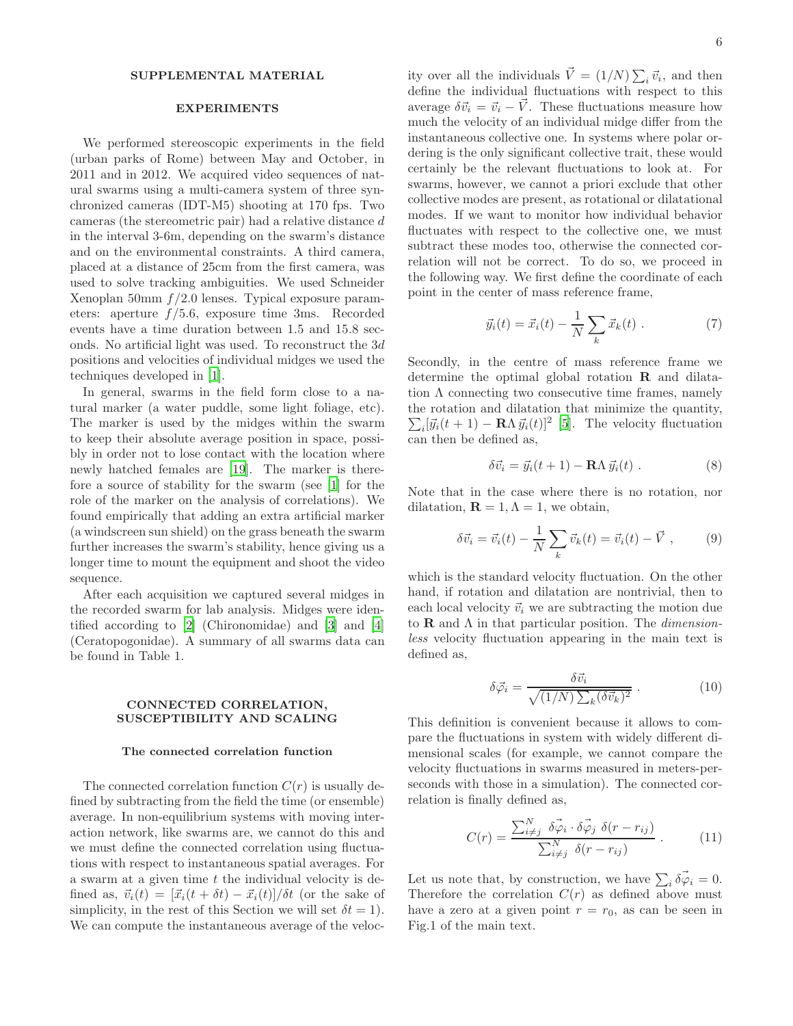### SUPPLEMENTAL MATERIAL

#### EXPERIMENTS

We performed stereoscopic experiments in the field (urban parks of Rome) between May and October, in 2011 and in 2012. We acquired video sequences of natural swarms using a multi-camera system of three synchronized cameras (IDT-M5) shooting at 170 fps. Two cameras (the stereometric pair) had a relative distance d in the interval 3-6m, depending on the swarm's distance and on the environmental constraints. A third camera, placed at a distance of 25cm from the first camera, was used to solve tracking ambiguities. We used Schneider Xenoplan 50mm  $f/2.0$  lenses. Typical exposure parameters: aperture  $f/5.6$ , exposure time 3ms. Recorded events have a time duration between 1.5 and 15.8 seconds. No artificial light was used. To reconstruct the 3d positions and velocities of individual midges we used the techniques developed in [\[1](#page-11-2)].

In general, swarms in the field form close to a natural marker (a water puddle, some light foliage, etc). The marker is used by the midges within the swarm to keep their absolute average position in space, possibly in order not to lose contact with the location where newly hatched females are [\[19\]](#page-11-10). The marker is therefore a source of stability for the swarm (see [\[1\]](#page-11-2) for the role of the marker on the analysis of correlations). We found empirically that adding an extra artificial marker (a windscreen sun shield) on the grass beneath the swarm further increases the swarm's stability, hence giving us a longer time to mount the equipment and shoot the video sequence.

After each acquisition we captured several midges in the recorded swarm for lab analysis. Midges were identified according to [\[2\]](#page-11-11) (Chironomidae) and [\[3](#page-11-12)] and [\[4](#page-11-13)] (Ceratopogonidae). A summary of all swarms data can be found in Table 1.

### CONNECTED CORRELATION, SUSCEPTIBILITY AND SCALING

### The connected correlation function

The connected correlation function  $C(r)$  is usually defined by subtracting from the field the time (or ensemble) average. In non-equilibrium systems with moving interaction network, like swarms are, we cannot do this and we must define the connected correlation using fluctuations with respect to instantaneous spatial averages. For a swarm at a given time t the individual velocity is defined as,  $\vec{v}_i(t) = [\vec{x}_i(t + \delta t) - \vec{x}_i(t)]/\delta t$  (or the sake of simplicity, in the rest of this Section we will set  $\delta t = 1$ ). We can compute the instantaneous average of the veloc-

ity over all the individuals  $\vec{V} = (1/N) \sum_i \vec{v}_i$ , and then define the individual fluctuations with respect to this average  $\delta \vec{v}_i = \vec{v}_i - \vec{V}$ . These fluctuations measure how much the velocity of an individual midge differ from the instantaneous collective one. In systems where polar ordering is the only significant collective trait, these would certainly be the relevant fluctuations to look at. For swarms, however, we cannot a priori exclude that other collective modes are present, as rotational or dilatational modes. If we want to monitor how individual behavior fluctuates with respect to the collective one, we must subtract these modes too, otherwise the connected correlation will not be correct. To do so, we proceed in the following way. We first define the coordinate of each point in the center of mass reference frame,

$$
\vec{y}_i(t) = \vec{x}_i(t) - \frac{1}{N} \sum_k \vec{x}_k(t) . \qquad (7)
$$

Secondly, in the centre of mass reference frame we determine the optimal global rotation R and dilatation  $\Lambda$  connecting two consecutive time frames, namely the rotation and dilatation that minimize the quantity,  $\sum_i [\vec{y}_i(t+1) - \mathbf{R}\Lambda \vec{y}_i(t)]^2$  [\[5\]](#page-11-3). The velocity fluctuation can then be defined as,

$$
\delta \vec{v}_i = \vec{y}_i(t+1) - \mathbf{R}\Lambda \vec{y}_i(t) . \tag{8}
$$

Note that in the case where there is no rotation, nor dilatation,  $\mathbf{R} = 1, \Lambda = 1$ , we obtain,

$$
\delta \vec{v}_i = \vec{v}_i(t) - \frac{1}{N} \sum_k \vec{v}_k(t) = \vec{v}_i(t) - \vec{V} , \qquad (9)
$$

which is the standard velocity fluctuation. On the other hand, if rotation and dilatation are nontrivial, then to each local velocity  $\vec{v}_i$  we are subtracting the motion due to  **and**  $\Lambda$  **in that particular position. The** *dimension*less velocity fluctuation appearing in the main text is defined as,

$$
\delta \vec{\varphi}_i = \frac{\delta \vec{v}_i}{\sqrt{(1/N)\sum_k (\delta \vec{v}_k)^2}} \ . \tag{10}
$$

This definition is convenient because it allows to compare the fluctuations in system with widely different dimensional scales (for example, we cannot compare the velocity fluctuations in swarms measured in meters-perseconds with those in a simulation). The connected correlation is finally defined as,

<span id="page-5-0"></span>
$$
C(r) = \frac{\sum_{i \neq j}^{N} \delta \vec{\varphi}_i \cdot \delta \vec{\varphi}_j \delta(r - r_{ij})}{\sum_{i \neq j}^{N} \delta(r - r_{ij})} . \tag{11}
$$

Let us note that, by construction, we have  $\sum_i \vec{\delta \varphi}_i = 0$ . Therefore the correlation  $C(r)$  as defined above must have a zero at a given point  $r = r_0$ , as can be seen in Fig.1 of the main text.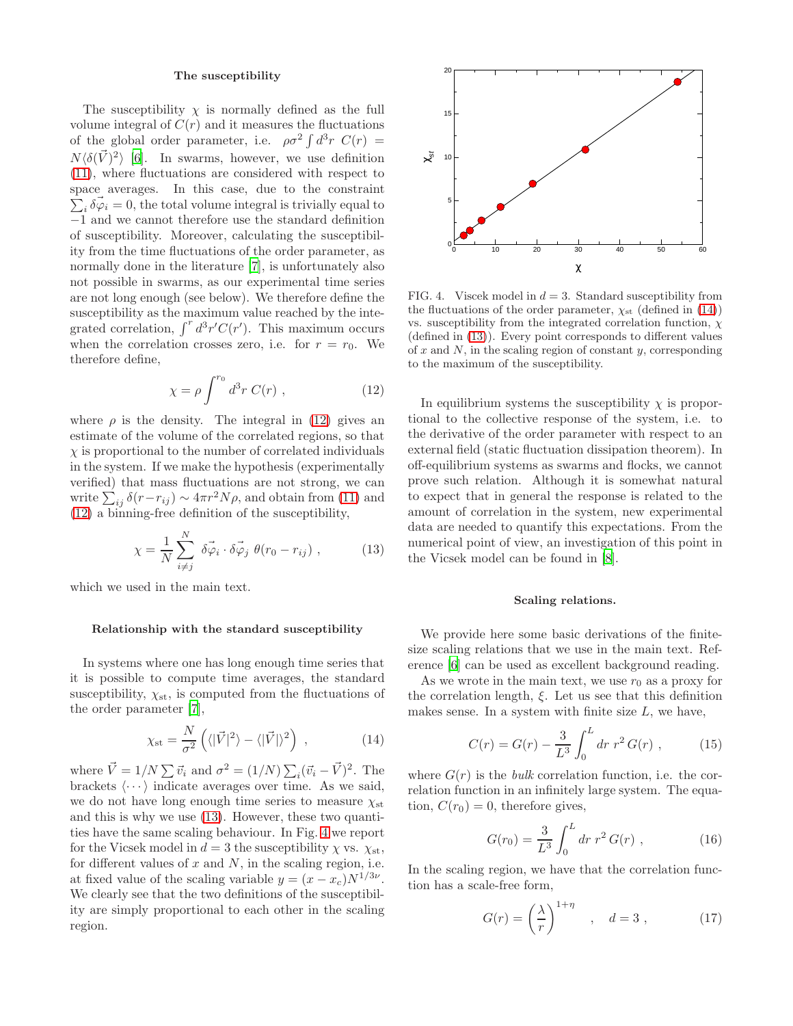### The susceptibility

The susceptibility  $\chi$  is normally defined as the full volume integral of  $C(r)$  and it measures the fluctuations of the global order parameter, i.e.  $\rho \sigma^2 \int d^3r \ C(r) =$  $N\langle \delta(\vec{V})^2 \rangle$  [\[6\]](#page-11-0). In swarms, however, we use definition [\(11\)](#page-5-0), where fluctuations are considered with respect to space averages. In this case, due to the constraint  $\sum_i \vec{\delta\varphi}_i = 0$ , the total volume integral is trivially equal to −1 and we cannot therefore use the standard definition of susceptibility. Moreover, calculating the susceptibility from the time fluctuations of the order parameter, as normally done in the literature [\[7](#page-11-8)], is unfortunately also not possible in swarms, as our experimental time series are not long enough (see below). We therefore define the susceptibility as the maximum value reached by the integrated correlation,  $\int^r d^3r' C(r')$ . This maximum occurs when the correlation crosses zero, i.e. for  $r = r_0$ . We therefore define,

<span id="page-6-0"></span>
$$
\chi = \rho \int^{r_0} d^3r C(r) , \qquad (12)
$$

where  $\rho$  is the density. The integral in [\(12\)](#page-6-0) gives an estimate of the volume of the correlated regions, so that  $\chi$  is proportional to the number of correlated individuals in the system. If we make the hypothesis (experimentally verified) that mass fluctuations are not strong, we can write  $\sum_{ij} \delta(r - r_{ij}) \sim 4\pi r^2 N \rho$ , and obtain from [\(11\)](#page-5-0) and [\(12\)](#page-6-0) a binning-free definition of the susceptibility,

<span id="page-6-1"></span>
$$
\chi = \frac{1}{N} \sum_{i \neq j}^{N} \vec{\delta \varphi_i} \cdot \vec{\delta \varphi_j} \, \theta(r_0 - r_{ij}), \qquad (13)
$$

which we used in the main text.

### Relationship with the standard susceptibility

In systems where one has long enough time series that it is possible to compute time averages, the standard susceptibility,  $\chi_{st}$ , is computed from the fluctuations of the order parameter [\[7\]](#page-11-8),

<span id="page-6-3"></span>
$$
\chi_{\rm st} = \frac{N}{\sigma^2} \left( \langle |\vec{V}|^2 \rangle - \langle |\vec{V}| \rangle^2 \right) \,, \tag{14}
$$

where  $\vec{V} = 1/N \sum \vec{v_i}$  and  $\sigma^2 = (1/N) \sum_i (\vec{v_i} - \vec{V})^2$ . The brackets  $\langle \cdots \rangle$  indicate averages over time. As we said, we do not have long enough time series to measure  $\chi_{\rm st}$ and this is why we use [\(13\)](#page-6-1). However, these two quantities have the same scaling behaviour. In Fig. [4](#page-6-2) we report for the Vicsek model in  $d = 3$  the susceptibility  $\chi$  vs.  $\chi_{st}$ , for different values of  $x$  and  $N$ , in the scaling region, i.e. at fixed value of the scaling variable  $y = (x - x_c)N^{1/3\nu}$ . We clearly see that the two definitions of the susceptibility are simply proportional to each other in the scaling region.



<span id="page-6-2"></span>FIG. 4. Viscek model in  $d = 3$ . Standard susceptibility from the fluctuations of the order parameter,  $\chi_{st}$  (defined in [\(14\)](#page-6-3)) vs. susceptibility from the integrated correlation function,  $\chi$ (defined in [\(13\)](#page-6-1)). Every point corresponds to different values of  $x$  and  $N$ , in the scaling region of constant  $y$ , corresponding to the maximum of the susceptibility.

In equilibrium systems the susceptibility  $\chi$  is proportional to the collective response of the system, i.e. to the derivative of the order parameter with respect to an external field (static fluctuation dissipation theorem). In off-equilibrium systems as swarms and flocks, we cannot prove such relation. Although it is somewhat natural to expect that in general the response is related to the amount of correlation in the system, new experimental data are needed to quantify this expectations. From the numerical point of view, an investigation of this point in the Vicsek model can be found in [\[8\]](#page-11-6).

## Scaling relations.

We provide here some basic derivations of the finitesize scaling relations that we use in the main text. Reference [\[6](#page-11-0)] can be used as excellent background reading.

As we wrote in the main text, we use  $r_0$  as a proxy for the correlation length,  $\xi$ . Let us see that this definition makes sense. In a system with finite size  $L$ , we have,

$$
C(r) = G(r) - \frac{3}{L^3} \int_0^L dr \ r^2 G(r) , \qquad (15)
$$

where  $G(r)$  is the *bulk* correlation function, i.e. the correlation function in an infinitely large system. The equation,  $C(r_0) = 0$ , therefore gives,

<span id="page-6-5"></span>
$$
G(r_0) = \frac{3}{L^3} \int_0^L dr \ r^2 G(r) , \qquad (16)
$$

In the scaling region, we have that the correlation function has a scale-free form,

<span id="page-6-4"></span>
$$
G(r) = \left(\frac{\lambda}{r}\right)^{1+\eta} , \quad d = 3 , \qquad (17)
$$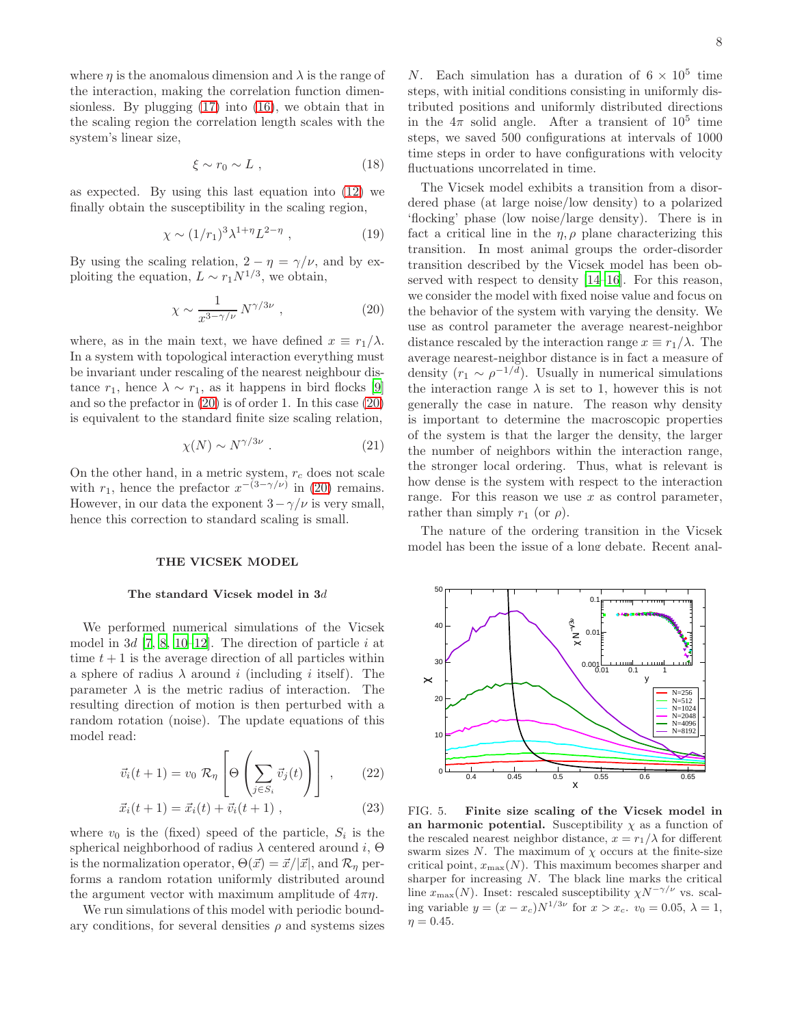where  $\eta$  is the anomalous dimension and  $\lambda$  is the range of the interaction, making the correlation function dimensionless. By plugging [\(17\)](#page-6-4) into [\(16\)](#page-6-5), we obtain that in the scaling region the correlation length scales with the system's linear size,

$$
\xi \sim r_0 \sim L \tag{18}
$$

as expected. By using this last equation into [\(12\)](#page-6-0) we finally obtain the susceptibility in the scaling region,

$$
\chi \sim (1/r_1)^3 \lambda^{1+\eta} L^{2-\eta} , \qquad (19)
$$

By using the scaling relation,  $2 - \eta = \gamma/\nu$ , and by exploiting the equation,  $L \sim r_1 N^{1/3}$ , we obtain,

<span id="page-7-0"></span>
$$
\chi \sim \frac{1}{x^{3-\gamma/\nu}} N^{\gamma/3\nu} \;, \tag{20}
$$

where, as in the main text, we have defined  $x \equiv r_1/\lambda$ . In a system with topological interaction everything must be invariant under rescaling of the nearest neighbour distance  $r_1$ , hence  $\lambda \sim r_1$ , as it happens in bird flocks [\[9](#page-11-14)] and so the prefactor in [\(20\)](#page-7-0) is of order 1. In this case [\(20\)](#page-7-0) is equivalent to the standard finite size scaling relation,

$$
\chi(N) \sim N^{\gamma/3\nu} \ . \tag{21}
$$

On the other hand, in a metric system,  $r_c$  does not scale with  $r_1$ , hence the prefactor  $x^{-(3-\gamma/\nu)}$  in [\(20\)](#page-7-0) remains. However, in our data the exponent  $3-\gamma/\nu$  is very small, hence this correction to standard scaling is small.

### THE VICSEK MODEL

#### The standard Vicsek model in 3d

We performed numerical simulations of the Vicsek model in  $3d$  [\[7](#page-11-8), [8,](#page-11-6) [10](#page-11-5)[–12\]](#page-11-7). The direction of particle i at time  $t + 1$  is the average direction of all particles within a sphere of radius  $\lambda$  around i (including i itself). The parameter  $\lambda$  is the metric radius of interaction. The resulting direction of motion is then perturbed with a random rotation (noise). The update equations of this model read:

$$
\vec{v}_i(t+1) = v_0 \mathcal{R}_{\eta} \left[ \Theta \left( \sum_{j \in S_i} \vec{v}_j(t) \right) \right], \qquad (22)
$$

$$
\vec{x}_i(t+1) = \vec{x}_i(t) + \vec{v}_i(t+1) , \qquad (23)
$$

where  $v_0$  is the (fixed) speed of the particle,  $S_i$  is the spherical neighborhood of radius  $\lambda$  centered around i,  $\Theta$ is the normalization operator,  $\Theta(\vec{x}) = \vec{x}/|\vec{x}|$ , and  $\mathcal{R}_n$  performs a random rotation uniformly distributed around the argument vector with maximum amplitude of  $4\pi\eta$ .

We run simulations of this model with periodic boundary conditions, for several densities  $\rho$  and systems sizes

N. Each simulation has a duration of  $6 \times 10^5$  time steps, with initial conditions consisting in uniformly distributed positions and uniformly distributed directions in the  $4\pi$  solid angle. After a transient of  $10^5$  time steps, we saved 500 configurations at intervals of 1000 time steps in order to have configurations with velocity fluctuations uncorrelated in time.

The Vicsek model exhibits a transition from a disordered phase (at large noise/low density) to a polarized 'flocking' phase (low noise/large density). There is in fact a critical line in the  $\eta$ ,  $\rho$  plane characterizing this transition. In most animal groups the order-disorder transition described by the Vicsek model has been observed with respect to density [\[14](#page-11-15)[–16\]](#page-11-16). For this reason, we consider the model with fixed noise value and focus on the behavior of the system with varying the density. We use as control parameter the average nearest-neighbor distance rescaled by the interaction range  $x \equiv r_1/\lambda$ . The average nearest-neighbor distance is in fact a measure of density  $(r_1 \sim \rho^{-1/d})$ . Usually in numerical simulations the interaction range  $\lambda$  is set to 1, however this is not generally the case in nature. The reason why density is important to determine the macroscopic properties of the system is that the larger the density, the larger the number of neighbors within the interaction range, the stronger local ordering. Thus, what is relevant is how dense is the system with respect to the interaction range. For this reason we use  $x$  as control parameter, rather than simply  $r_1$  (or  $\rho$ ).

The nature of the ordering transition in the Vicsek model has been the issue of a long debate. Recent anal-



<span id="page-7-1"></span>FIG. 5. Finite size scaling of the Vicsek model in an harmonic potential. Susceptibility  $\chi$  as a function of the rescaled nearest neighbor distance,  $x = r_1/\lambda$  for different swarm sizes N. The maximum of  $\chi$  occurs at the finite-size critical point,  $x_{\text{max}}(N)$ . This maximum becomes sharper and sharper for increasing  $N$ . The black line marks the critical line  $x_{\text{max}}(N)$ . Inset: rescaled susceptibility  $\chi N^{-\gamma/\nu}$  vs. scaling variable  $y = (x - x_c)N^{1/3\nu}$  for  $x > x_c$ .  $v_0 = 0.05$ ,  $\lambda = 1$ ,  $\eta = 0.45$ .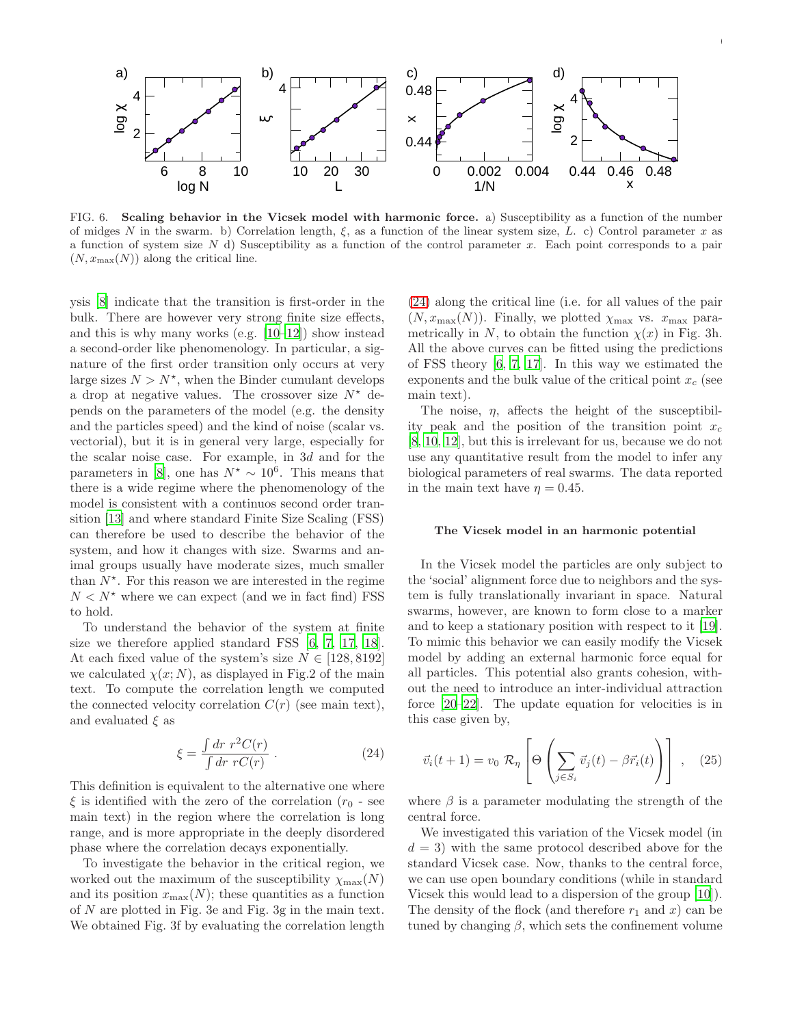

<span id="page-8-1"></span>FIG. 6. Scaling behavior in the Vicsek model with harmonic force. a) Susceptibility as a function of the number of midges N in the swarm. b) Correlation length,  $\xi$ , as a function of the linear system size, L. c) Control parameter x as a function of system size  $N$  d) Susceptibility as a function of the control parameter  $x$ . Each point corresponds to a pair  $(N, x_{\text{max}}(N))$  along the critical line.

ysis [\[8\]](#page-11-6) indicate that the transition is first-order in the bulk. There are however very strong finite size effects, and this is why many works (e.g. [\[10](#page-11-5)[–12](#page-11-7)]) show instead a second-order like phenomenology. In particular, a signature of the first order transition only occurs at very large sizes  $N > N^*$ , when the Binder cumulant develops a drop at negative values. The crossover size  $N^*$  depends on the parameters of the model (e.g. the density and the particles speed) and the kind of noise (scalar vs. vectorial), but it is in general very large, especially for the scalar noise case. For example, in 3d and for the parameters in [\[8\]](#page-11-6), one has  $N^* \sim 10^6$ . This means that there is a wide regime where the phenomenology of the model is consistent with a continuos second order transition [\[13\]](#page-11-17) and where standard Finite Size Scaling (FSS) can therefore be used to describe the behavior of the system, and how it changes with size. Swarms and animal groups usually have moderate sizes, much smaller than  $N^*$ . For this reason we are interested in the regime  $N < N^*$  where we can expect (and we in fact find) FSS to hold.

To understand the behavior of the system at finite size we therefore applied standard FSS [\[6,](#page-11-0) [7](#page-11-8), [17,](#page-11-1) [18\]](#page-11-9). At each fixed value of the system's size  $N \in [128, 8192]$ we calculated  $\chi(x; N)$ , as displayed in Fig.2 of the main text. To compute the correlation length we computed the connected velocity correlation  $C(r)$  (see main text), and evaluated  $\xi$  as

<span id="page-8-0"></span>
$$
\xi = \frac{\int dr \ r^2 C(r)}{\int dr \ r C(r)} \ . \tag{24}
$$

This definition is equivalent to the alternative one where  $\xi$  is identified with the zero of the correlation ( $r_0$  - see main text) in the region where the correlation is long range, and is more appropriate in the deeply disordered phase where the correlation decays exponentially.

To investigate the behavior in the critical region, we worked out the maximum of the susceptibility  $\chi_{\text{max}}(N)$ and its position  $x_{\text{max}}(N)$ ; these quantities as a function of N are plotted in Fig. 3e and Fig. 3g in the main text. We obtained Fig. 3f by evaluating the correlation length [\(24\)](#page-8-0) along the critical line (i.e. for all values of the pair  $(N, x_{\text{max}}(N))$ . Finally, we plotted  $\chi_{\text{max}}$  vs.  $x_{\text{max}}$  parametrically in N, to obtain the function  $\chi(x)$  in Fig. 3h. All the above curves can be fitted using the predictions of FSS theory [\[6](#page-11-0), [7,](#page-11-8) [17\]](#page-11-1). In this way we estimated the exponents and the bulk value of the critical point  $x_c$  (see main text).

9

The noise,  $\eta$ , affects the height of the susceptibility peak and the position of the transition point  $x_c$ [\[8,](#page-11-6) [10](#page-11-5), [12\]](#page-11-7), but this is irrelevant for us, because we do not use any quantitative result from the model to infer any biological parameters of real swarms. The data reported in the main text have  $\eta = 0.45$ .

### The Vicsek model in an harmonic potential

In the Vicsek model the particles are only subject to the 'social' alignment force due to neighbors and the system is fully translationally invariant in space. Natural swarms, however, are known to form close to a marker and to keep a stationary position with respect to it [\[19\]](#page-11-10). To mimic this behavior we can easily modify the Vicsek model by adding an external harmonic force equal for all particles. This potential also grants cohesion, without the need to introduce an inter-individual attraction force [\[20](#page-11-18)[–22\]](#page-11-19). The update equation for velocities is in this case given by,

$$
\vec{v}_i(t+1) = v_0 \mathcal{R}_{\eta} \left[ \Theta \left( \sum_{j \in S_i} \vec{v}_j(t) - \beta \vec{r}_i(t) \right) \right], \quad (25)
$$

where  $\beta$  is a parameter modulating the strength of the central force.

We investigated this variation of the Vicsek model (in  $d = 3$ ) with the same protocol described above for the standard Vicsek case. Now, thanks to the central force, we can use open boundary conditions (while in standard Vicsek this would lead to a dispersion of the group [\[10\]](#page-11-5)). The density of the flock (and therefore  $r_1$  and x) can be tuned by changing  $\beta$ , which sets the confinement volume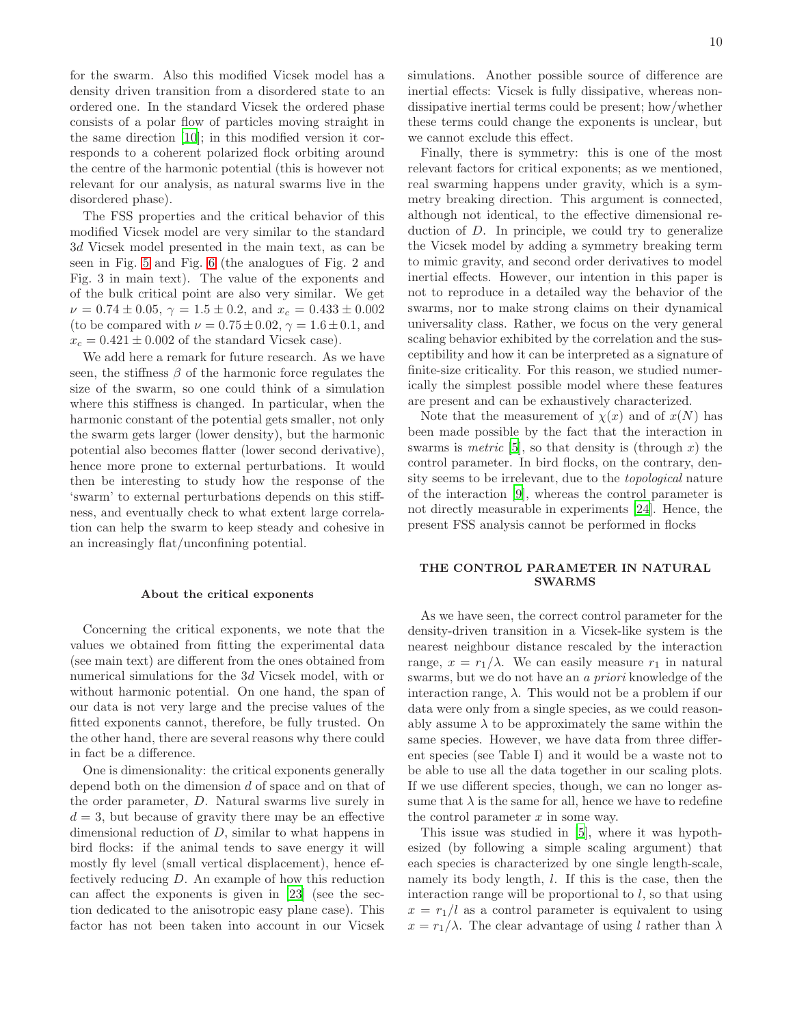for the swarm. Also this modified Vicsek model has a density driven transition from a disordered state to an ordered one. In the standard Vicsek the ordered phase consists of a polar flow of particles moving straight in the same direction [\[10](#page-11-5)]; in this modified version it corresponds to a coherent polarized flock orbiting around the centre of the harmonic potential (this is however not relevant for our analysis, as natural swarms live in the disordered phase).

The FSS properties and the critical behavior of this modified Vicsek model are very similar to the standard 3d Vicsek model presented in the main text, as can be seen in Fig. [5](#page-7-1) and Fig. [6](#page-8-1) (the analogues of Fig. 2 and Fig. 3 in main text). The value of the exponents and of the bulk critical point are also very similar. We get  $\nu = 0.74 \pm 0.05$ ,  $\gamma = 1.5 \pm 0.2$ , and  $x_c = 0.433 \pm 0.002$ (to be compared with  $\nu = 0.75 \pm 0.02$ ,  $\gamma = 1.6 \pm 0.1$ , and  $x_c = 0.421 \pm 0.002$  of the standard Vicsek case).

We add here a remark for future research. As we have seen, the stiffness  $\beta$  of the harmonic force regulates the size of the swarm, so one could think of a simulation where this stiffness is changed. In particular, when the harmonic constant of the potential gets smaller, not only the swarm gets larger (lower density), but the harmonic potential also becomes flatter (lower second derivative), hence more prone to external perturbations. It would then be interesting to study how the response of the 'swarm' to external perturbations depends on this stiffness, and eventually check to what extent large correlation can help the swarm to keep steady and cohesive in an increasingly flat/unconfining potential.

### About the critical exponents

Concerning the critical exponents, we note that the values we obtained from fitting the experimental data (see main text) are different from the ones obtained from numerical simulations for the 3d Vicsek model, with or without harmonic potential. On one hand, the span of our data is not very large and the precise values of the fitted exponents cannot, therefore, be fully trusted. On the other hand, there are several reasons why there could in fact be a difference.

One is dimensionality: the critical exponents generally depend both on the dimension d of space and on that of the order parameter, D. Natural swarms live surely in  $d = 3$ , but because of gravity there may be an effective dimensional reduction of D, similar to what happens in bird flocks: if the animal tends to save energy it will mostly fly level (small vertical displacement), hence effectively reducing D. An example of how this reduction can affect the exponents is given in [\[23\]](#page-11-20) (see the section dedicated to the anisotropic easy plane case). This factor has not been taken into account in our Vicsek simulations. Another possible source of difference are inertial effects: Vicsek is fully dissipative, whereas nondissipative inertial terms could be present; how/whether these terms could change the exponents is unclear, but we cannot exclude this effect.

Finally, there is symmetry: this is one of the most relevant factors for critical exponents; as we mentioned, real swarming happens under gravity, which is a symmetry breaking direction. This argument is connected, although not identical, to the effective dimensional reduction of D. In principle, we could try to generalize the Vicsek model by adding a symmetry breaking term to mimic gravity, and second order derivatives to model inertial effects. However, our intention in this paper is not to reproduce in a detailed way the behavior of the swarms, nor to make strong claims on their dynamical universality class. Rather, we focus on the very general scaling behavior exhibited by the correlation and the susceptibility and how it can be interpreted as a signature of finite-size criticality. For this reason, we studied numerically the simplest possible model where these features are present and can be exhaustively characterized.

Note that the measurement of  $\chi(x)$  and of  $x(N)$  has been made possible by the fact that the interaction in swarms is *metric* [\[5](#page-11-3)], so that density is (through x) the control parameter. In bird flocks, on the contrary, density seems to be irrelevant, due to the topological nature of the interaction [\[9](#page-11-14)], whereas the control parameter is not directly measurable in experiments [\[24\]](#page-11-21). Hence, the present FSS analysis cannot be performed in flocks

# THE CONTROL PARAMETER IN NATURAL SWARMS

As we have seen, the correct control parameter for the density-driven transition in a Vicsek-like system is the nearest neighbour distance rescaled by the interaction range,  $x = r_1/\lambda$ . We can easily measure  $r_1$  in natural swarms, but we do not have an a priori knowledge of the interaction range,  $\lambda$ . This would not be a problem if our data were only from a single species, as we could reasonably assume  $\lambda$  to be approximately the same within the same species. However, we have data from three different species (see Table I) and it would be a waste not to be able to use all the data together in our scaling plots. If we use different species, though, we can no longer assume that  $\lambda$  is the same for all, hence we have to redefine the control parameter  $x$  in some way.

This issue was studied in [\[5\]](#page-11-3), where it was hypothesized (by following a simple scaling argument) that each species is characterized by one single length-scale, namely its body length, l. If this is the case, then the interaction range will be proportional to  $l$ , so that using  $x = r_1/l$  as a control parameter is equivalent to using  $x = r_1/\lambda$ . The clear advantage of using l rather than  $\lambda$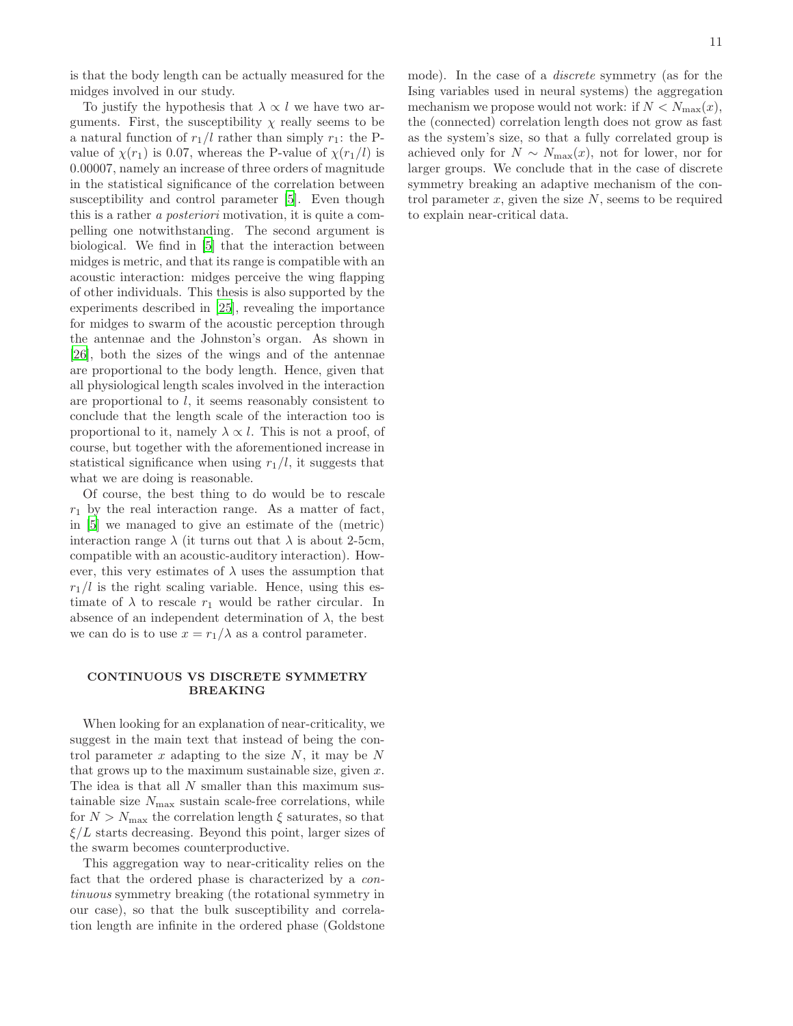is that the body length can be actually measured for the midges involved in our study.

To justify the hypothesis that  $\lambda \propto l$  we have two arguments. First, the susceptibility  $\chi$  really seems to be a natural function of  $r_1/l$  rather than simply  $r_1$ : the Pvalue of  $\chi(r_1)$  is 0.07, whereas the P-value of  $\chi(r_1/l)$  is 0.00007, namely an increase of three orders of magnitude in the statistical significance of the correlation between susceptibility and control parameter [\[5](#page-11-3)]. Even though this is a rather a posteriori motivation, it is quite a compelling one notwithstanding. The second argument is biological. We find in [\[5\]](#page-11-3) that the interaction between midges is metric, and that its range is compatible with an acoustic interaction: midges perceive the wing flapping of other individuals. This thesis is also supported by the experiments described in [\[25](#page-11-22)], revealing the importance for midges to swarm of the acoustic perception through the antennae and the Johnston's organ. As shown in [\[26\]](#page-11-23), both the sizes of the wings and of the antennae are proportional to the body length. Hence, given that all physiological length scales involved in the interaction are proportional to l, it seems reasonably consistent to conclude that the length scale of the interaction too is proportional to it, namely  $\lambda \propto l$ . This is not a proof, of course, but together with the aforementioned increase in statistical significance when using  $r_1/l$ , it suggests that what we are doing is reasonable.

Of course, the best thing to do would be to rescale  $r_1$  by the real interaction range. As a matter of fact, in [\[5\]](#page-11-3) we managed to give an estimate of the (metric) interaction range  $\lambda$  (it turns out that  $\lambda$  is about 2-5cm, compatible with an acoustic-auditory interaction). However, this very estimates of  $\lambda$  uses the assumption that  $r_1/l$  is the right scaling variable. Hence, using this estimate of  $\lambda$  to rescale  $r_1$  would be rather circular. In absence of an independent determination of  $\lambda$ , the best we can do is to use  $x = r_1/\lambda$  as a control parameter.

# CONTINUOUS VS DISCRETE SYMMETRY BREAKING

When looking for an explanation of near-criticality, we suggest in the main text that instead of being the control parameter x adapting to the size  $N$ , it may be  $N$ that grows up to the maximum sustainable size, given  $x$ . The idea is that all N smaller than this maximum sustainable size  $N_{\text{max}}$  sustain scale-free correlations, while for  $N > N_{\text{max}}$  the correlation length  $\xi$  saturates, so that  $\xi/L$  starts decreasing. Beyond this point, larger sizes of the swarm becomes counterproductive.

This aggregation way to near-criticality relies on the fact that the ordered phase is characterized by a continuous symmetry breaking (the rotational symmetry in our case), so that the bulk susceptibility and correlation length are infinite in the ordered phase (Goldstone mode). In the case of a discrete symmetry (as for the Ising variables used in neural systems) the aggregation mechanism we propose would not work: if  $N < N_{\text{max}}(x)$ , the (connected) correlation length does not grow as fast as the system's size, so that a fully correlated group is achieved only for  $N \sim N_{\text{max}}(x)$ , not for lower, nor for larger groups. We conclude that in the case of discrete symmetry breaking an adaptive mechanism of the control parameter  $x$ , given the size  $N$ , seems to be required to explain near-critical data.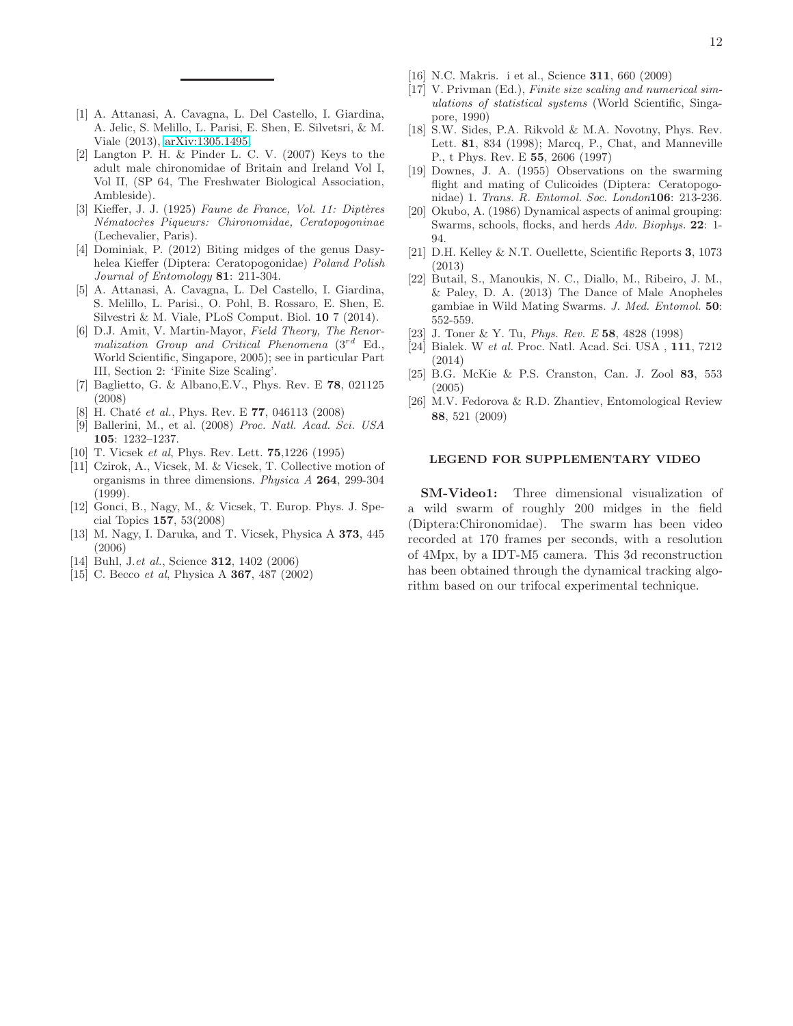- <span id="page-11-2"></span>[1] A. Attanasi, A. Cavagna, L. Del Castello, I. Giardina, A. Jelic, S. Melillo, L. Parisi, E. Shen, E. Silvetsri, & M. Viale (2013), [arXiv:1305.1495.](http://arxiv.org/abs/1305.1495)
- <span id="page-11-11"></span>[2] Langton P. H. & Pinder L. C. V. (2007) Keys to the adult male chironomidae of Britain and Ireland Vol I, Vol II, (SP 64, The Freshwater Biological Association, Ambleside).
- <span id="page-11-12"></span>[3] Kieffer, J. J. (1925) *Faune de France, Vol. 11: Diptères N´ematoc`res Piqueurs: Chironomidae, Ceratopogoninae* (Lechevalier, Paris).
- <span id="page-11-13"></span>[4] Dominiak, P. (2012) Biting midges of the genus Dasyhelea Kieffer (Diptera: Ceratopogonidae) *Poland Polish Journal of Entomology* 81: 211-304.
- <span id="page-11-3"></span>[5] A. Attanasi, A. Cavagna, L. Del Castello, I. Giardina, S. Melillo, L. Parisi., O. Pohl, B. Rossaro, E. Shen, E. Silvestri & M. Viale, PLoS Comput. Biol. 10 7 (2014).
- <span id="page-11-0"></span>[6] D.J. Amit, V. Martin-Mayor, *Field Theory, The Renormalization Group and Critical Phenomena* (3rd Ed., World Scientific, Singapore, 2005); see in particular Part III, Section 2: 'Finite Size Scaling'.
- <span id="page-11-8"></span>[7] Baglietto, G. & Albano,E.V., Phys. Rev. E 78, 021125 (2008)
- <span id="page-11-6"></span>[8] H. Chaté *et al.*, Phys. Rev. E 77, 046113 (2008)
- <span id="page-11-14"></span>[9] Ballerini, M., et al. (2008) *Proc. Natl. Acad. Sci. USA* 105: 1232–1237.
- <span id="page-11-5"></span>[10] T. Vicsek *et al*, Phys. Rev. Lett. 75,1226 (1995)
- [11] Czirok, A., Vicsek, M. & Vicsek, T. Collective motion of organisms in three dimensions. *Physica A* 264, 299-304 (1999).
- <span id="page-11-7"></span>[12] Gonci, B., Nagy, M., & Vicsek, T. Europ. Phys. J. Special Topics 157, 53(2008)
- <span id="page-11-17"></span>[13] M. Nagy, I. Daruka, and T. Vicsek, Physica A 373, 445 (2006)
- <span id="page-11-15"></span>[14] Buhl, J.*et al.*, Science 312, 1402 (2006)
- [15] C. Becco *et al*, Physica A 367, 487 (2002)
- <span id="page-11-16"></span>[16] N.C. Makris. i et al., Science 311, 660 (2009)
- <span id="page-11-1"></span>[17] V. Privman (Ed.), *Finite size scaling and numerical simulations of statistical systems* (World Scientific, Singapore, 1990)
- <span id="page-11-9"></span>[18] S.W. Sides, P.A. Rikvold & M.A. Novotny, Phys. Rev. Lett. 81, 834 (1998); Marcq, P., Chat, and Manneville P., t Phys. Rev. E 55, 2606 (1997)
- <span id="page-11-10"></span>[19] Downes, J. A. (1955) Observations on the swarming flight and mating of Culicoides (Diptera: Ceratopogonidae) 1. *Trans. R. Entomol. Soc. London*106: 213-236.
- <span id="page-11-18"></span>[20] Okubo, A. (1986) Dynamical aspects of animal grouping: Swarms, schools, flocks, and herds *Adv. Biophys.* 22: 1- 94.
- <span id="page-11-4"></span>[21] D.H. Kelley & N.T. Ouellette, Scientific Reports 3, 1073 (2013)
- <span id="page-11-19"></span>[22] Butail, S., Manoukis, N. C., Diallo, M., Ribeiro, J. M., & Paley, D. A. (2013) The Dance of Male Anopheles gambiae in Wild Mating Swarms. *J. Med. Entomol.* 50: 552-559.
- <span id="page-11-20"></span>[23] J. Toner & Y. Tu, *Phys. Rev. E* 58, 4828 (1998)
- <span id="page-11-21"></span>[24] Bialek. W *et al.* Proc. Natl. Acad. Sci. USA , 111, 7212 (2014)
- <span id="page-11-22"></span>[25] B.G. McKie & P.S. Cranston, Can. J. Zool 83, 553 (2005)
- <span id="page-11-23"></span>[26] M.V. Fedorova & R.D. Zhantiev, Entomological Review 88, 521 (2009)

### LEGEND FOR SUPPLEMENTARY VIDEO

SM-Video1: Three dimensional visualization of a wild swarm of roughly 200 midges in the field (Diptera:Chironomidae). The swarm has been video recorded at 170 frames per seconds, with a resolution of 4Mpx, by a IDT-M5 camera. This 3d reconstruction has been obtained through the dynamical tracking algorithm based on our trifocal experimental technique.